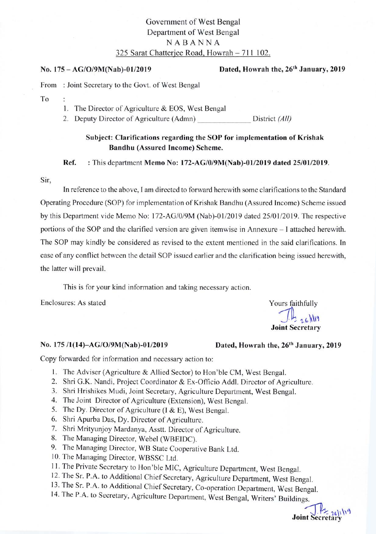## Government of West Bengal Department of West Bengal NABANNA 325 Sarat Chatteriee Road. Howrah - 711 102.

### No. 175 - AG/O/9M(Nab)-01/2019

### Dated, Howrah the, 26<sup>th</sup> January, 2019

From : Joint Secretary to the Govt. of West Bengal

To:

Þ

l. The Director of Agriculture & EOS, West Bengal

2. Deputy Director of Agriculture (Admn) District (All)

## Subject: Clarifications regarding the SOP for implementation of Krishak Bandhu (Assured Income) Scheme.

Ref. : This department Memo No: 172-AG/0/9M(Nab)-01/2019 dated 25/01/2019.

#### Sir,

In reference to the above, I am directed to forward herewith some clarifications to the Standard Operating Procedure (SOP) for implementation of Krishak Bandhu (Assured Income) Scheme issued by this Department vide Memo No: 172-AG/0/9M (Nab)-01/2019 dated 25/01/2019. The respective portions of the SOP and the clarified version are given itemwise in Annexure – I attached herewith. The SOP may kindly be considered as revised to the extent mentioned in the said clarifications. In case of any conflict between the detail SOP issued earlier and the clarification being issued herewith, the latter will prevail.

This is for your kind information and taking necessary action.

Enclosures: As stated Yours faithfully

 $Jh_{126}$ Joint Secretary

### No. 175/1(14)-AG/O/9M(Nab)-01/2019 Dated, Howrah the, 26<sup>th</sup> January, 2019

Copy forwarded for information and necessary action to:

- 1. The Adviser (Agriculture & Allied Sector) to Hon'ble CM, West Bengal.
- 2. Shri G.K. Nandi, Project Coordinator & Ex-Officio Addl. Director of Agriculture.
- 3. Shri Hrishikes Mudi, Joint Secretary, Agriculture Department, West Bengal.
- 4. The Joint Director of Agriculture (Extension), West Bengal.
- 5. The Dy. Director of Agriculture (l & E), West Bengal.
- 6. Shri Apurba Das, Dy. Director of Agriculture.
- 7. Shri Mrityunjoy Mardanya, Asstt. Director of Agriculture.
- 8. The Managing Director, Webel (WBEIDC).
- 9. The Managing Director, WB State Cooperative Bank Ltd.
- 10. The Managing Director, WBSSC Ltd.
- 
- 11. The Private Secretary to Hon'ble MIC, Agriculture Department, West Bengal.<br>12. The Sr. P.A. to Additional Chief Secretary, Agriculture Department, West Bengal.
- 
- 13. The Sr. P.A. to Additional Chief Secretary, Co-operation Department, West Bengal. 14. The P.A. to Secretary, Agriculture Department, West Bengal, Writers' Buildings.

**Joint Secretary**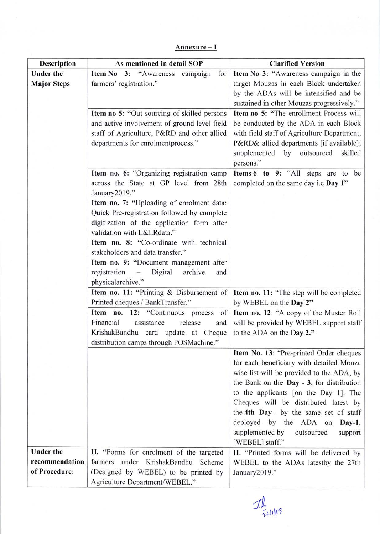# Annexure - I

| Description                     | As mentioned in detail SOP                                                   | <b>Clarified Version</b>                                                           |
|---------------------------------|------------------------------------------------------------------------------|------------------------------------------------------------------------------------|
| <b>Under the</b>                | Item No 3: "Awareness campaign<br>for                                        | Item No 3: "Awareness campaign in the                                              |
| <b>Major Steps</b>              | farmers' registration."                                                      | target Mouzas in each Block undertaken                                             |
|                                 |                                                                              | by the ADAs will be intensified and be                                             |
|                                 |                                                                              | sustained in other Mouzas progressively."                                          |
|                                 | Item no 5: "Out sourcing of skilled persons                                  | Item no 5: "The enrollment Process will                                            |
|                                 | and active involvement of ground level field                                 | be conducted by the ADA in each Block                                              |
|                                 | staff of Agriculture, P&RD and other allied                                  | with field staff of Agriculture Department,                                        |
|                                 | departments for enrolmentprocess."                                           | P&RD& allied departments [if available];                                           |
|                                 |                                                                              | by outsourced<br>supplemented<br>skilled<br>persons."                              |
|                                 | Item no. 6: "Organizing registration camp                                    | Items 6 to 9: "All steps are to be                                                 |
|                                 | across the State at GP level from 28th                                       | completed on the same day i.e Day 1"                                               |
|                                 | January2019."                                                                |                                                                                    |
|                                 | Item no. 7: "Uploading of enrolment data:                                    |                                                                                    |
|                                 | Quick Pre-registration followed by complete                                  |                                                                                    |
|                                 | digitization of the application form after                                   |                                                                                    |
|                                 | validation with L&LRdata."                                                   |                                                                                    |
|                                 | Item no. 8: "Co-ordinate with technical                                      |                                                                                    |
|                                 | stakeholders and data transfer."                                             |                                                                                    |
|                                 | Item no. 9: "Document management after                                       |                                                                                    |
|                                 | registration<br>Digital<br>archive<br>$\sim$ 100 $\sim$<br>and               |                                                                                    |
|                                 | physicalarchive."                                                            |                                                                                    |
|                                 | Item no. 11: "Printing & Disbursement of                                     | Item no. 11: "The step will be completed                                           |
|                                 | Printed cheques / BankTransfer."                                             | by WEBEL on the Day 2"                                                             |
|                                 | Item no. 12: "Continuous process<br>of<br>Financial<br>assistance<br>release | Item no. 12: "A copy of the Muster Roll<br>will be provided by WEBEL support staff |
|                                 | and<br>KrishakBandhu card update at Cheque                                   | to the ADA on the Day 2."                                                          |
|                                 | distribution camps through POSMachine."                                      |                                                                                    |
|                                 |                                                                              | Item No. 13: "Pre-printed Order cheques                                            |
|                                 |                                                                              | for each beneficiary with detailed Mouza                                           |
|                                 |                                                                              | wise list will be provided to the ADA, by                                          |
|                                 |                                                                              | the Bank on the Day - 3, for distribution                                          |
|                                 |                                                                              | to the applicants [on the Day 1]. The                                              |
|                                 |                                                                              | Cheques will be distributed latest by                                              |
|                                 |                                                                              | the 4th Day - by the same set of staff                                             |
|                                 |                                                                              | deployed by the ADA on<br>Day-1,                                                   |
|                                 |                                                                              | supplemented by<br>outsourced<br>support                                           |
|                                 |                                                                              | [WEBEL] staff."                                                                    |
| <b>Under the</b>                | II. "Forms for enrolment of the targeted                                     | II. "Printed forms will be delivered by                                            |
| recommendation<br>of Procedure: | farmers under KrishakBandhu Scheme                                           | WEBEL to the ADAs latestby the 27th                                                |
|                                 | (Designed by WEBEL) to be printed by<br>Agriculture Department/WEBEL."       | January2019."                                                                      |

 $\frac{1}{2^{k}}$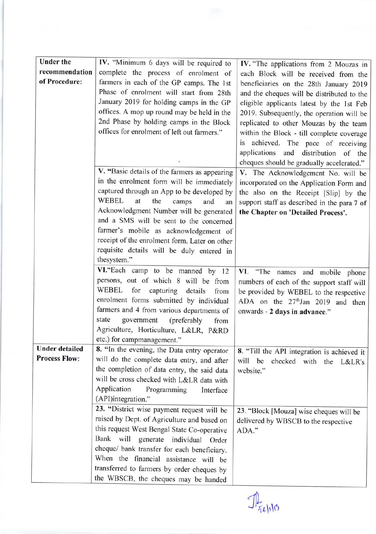| <b>Under the</b>      |                                               |                                               |
|-----------------------|-----------------------------------------------|-----------------------------------------------|
| recommendation        | IV. "Minimum 6 days will be required to       | IV. "The applications from 2 Mouzas in        |
|                       | complete the process of enrolment of          | each Block will be received from the          |
| of Procedure:         | farmers in each of the GP camps. The 1st      | beneficiaries on the 28th January 2019        |
|                       | Phase of enrolment will start from 28th       | and the cheques will be distributed to the    |
|                       | January 2019 for holding camps in the GP      | eligible applicants latest by the 1st Feb     |
|                       | offices. A mop up round may be held in the    | 2019. Subsequently, the operation will be     |
|                       | 2nd Phase by holding camps in the Block       | replicated to other Mouzas by the team        |
|                       | offices for enrolment of left out farmers."   | within the Block - till complete coverage     |
|                       |                                               | is achieved. The pace of receiving            |
|                       |                                               | applications and distribution of the          |
|                       |                                               | cheques should be gradually accelerated."     |
|                       | V. "Basic details of the farmers as appearing | V. The Acknowledgement No. will be            |
|                       | in the enrolment form will be immediately     | incorporated on the Application Form and      |
|                       | captured through an App to be developed by    |                                               |
|                       | <b>WEBEL</b><br>at<br>the<br>camps<br>and     | the also on the Receipt [Slip] by the         |
|                       | an<br>Acknowledgment Number will be generated | support staff as described in the para 7 of   |
|                       | and a SMS will be sent to the concerned       | the Chapter on 'Detailed Process'.            |
|                       |                                               |                                               |
|                       | farmer's mobile as acknowledgement of         |                                               |
|                       | receipt of the enrolment form. Later on other |                                               |
|                       | requisite details will be duly entered in     |                                               |
|                       | thesystem."                                   |                                               |
|                       | VI. "Each camp to be manned by 12             | VI. "The names and mobile phone               |
|                       | persons, out of which 8 will be from          | numbers of each of the support staff will     |
|                       | WEBEL for capturing<br>details<br>from        | be provided by WEBEL to the respective        |
|                       | enrolment forms submitted by individual       | ADA on the 27 <sup>th</sup> Jan 2019 and then |
|                       | farmers and 4 from various departments of     | onwards - 2 days in advance."                 |
|                       | government<br>state<br>(preferably<br>from    |                                               |
|                       | Agriculture, Horticulture, L&LR, P&RD         |                                               |
|                       | etc.) for campmanagement."                    |                                               |
| <b>Under detailed</b> | 8. "In the evening, the Data entry operator   | 8. "Till the API integration is achieved it   |
| <b>Process Flow:</b>  | will do the complete data entry, and after    | will<br>be<br>checked with the L&LR's         |
|                       | the completion of data entry, the said data   | website."                                     |
|                       | will be cross checked with L&LR data with     |                                               |
|                       | Application<br>Programming<br>Interface       |                                               |
|                       | (API)integration."                            |                                               |
|                       | 23. "District wise payment request will be    | 23. "Block [Mouza] wise cheques will be       |
|                       | raised by Dept. of Agriculture and based on   | delivered by WBSCB to the respective          |
|                       | this request West Bengal State Co-operative   | ADA."                                         |
|                       | Bank will generate individual Order           |                                               |
|                       | cheque/ bank transfer for each beneficiary.   |                                               |
|                       | When the financial assistance will be         |                                               |
|                       | transferred to farmers by order cheques by    |                                               |
|                       | the WBSCB, the cheques may be handed          |                                               |
|                       |                                               |                                               |

 $\mathcal{P}_{\tilde{\text{refl}}(\cdot)}$